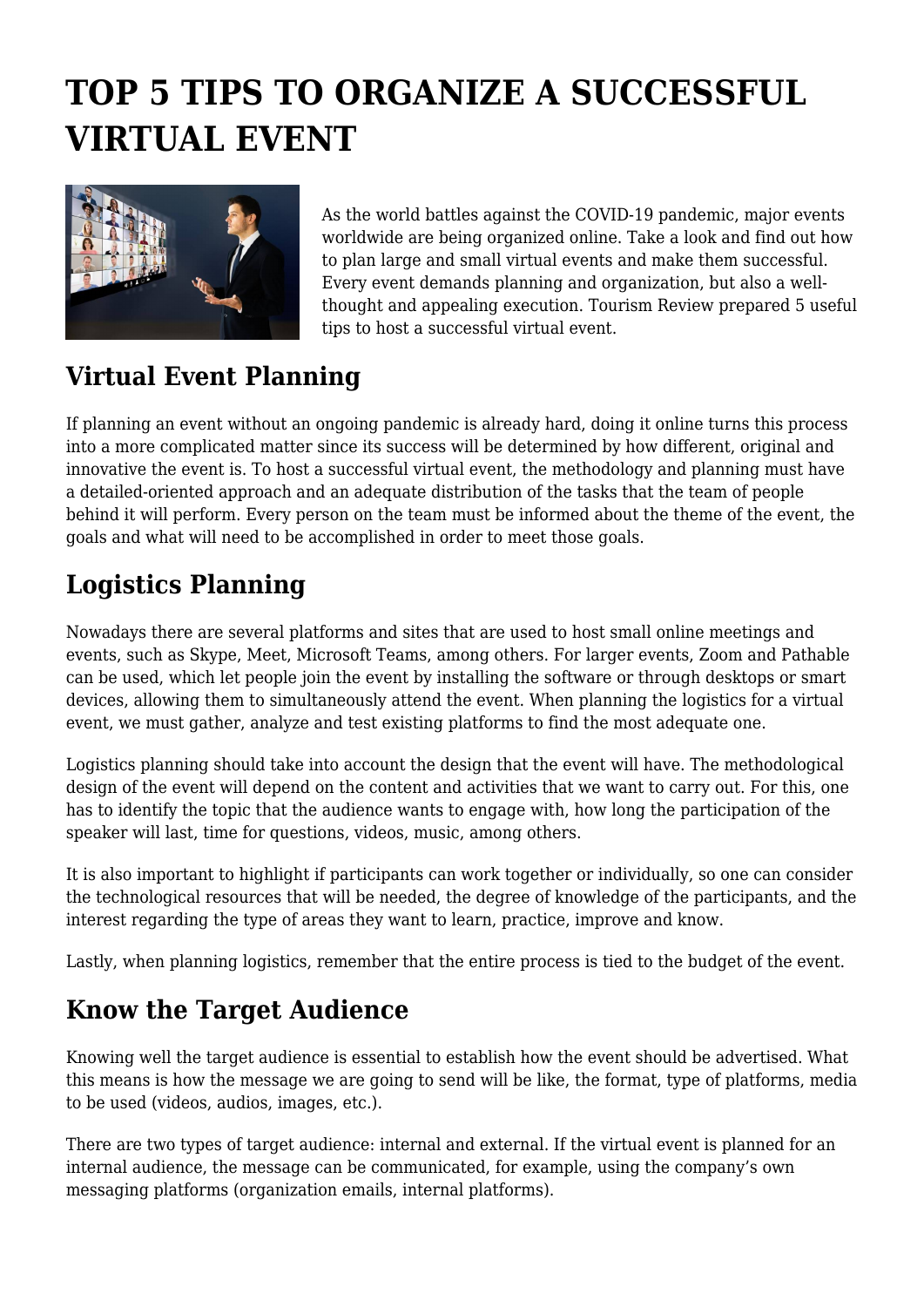# **TOP 5 TIPS TO ORGANIZE A SUCCESSFUL VIRTUAL EVENT**



As the world battles against the COVID-19 pandemic, major events worldwide are being organized online. Take a look and find out how to plan large and small virtual events and make them successful. Every event demands planning and organization, but also a wellthought and appealing execution. Tourism Review prepared 5 useful tips to host a successful virtual event.

# **Virtual Event Planning**

If planning an event without an ongoing pandemic is already hard, doing it online turns this process into a more complicated matter since its success will be determined by how different, original and innovative the event is. To host a successful virtual event, the methodology and planning must have a detailed-oriented approach and an adequate distribution of the tasks that the team of people behind it will perform. Every person on the team must be informed about the theme of the event, the goals and what will need to be accomplished in order to meet those goals.

# **Logistics Planning**

Nowadays there are several platforms and sites that are used to host small online meetings and events, such as Skype, Meet, Microsoft Teams, among others. For larger events, Zoom and Pathable can be used, which let people join the event by installing the software or through desktops or smart devices, allowing them to simultaneously attend the event. When planning the logistics for a virtual event, we must gather, analyze and test existing platforms to find the most adequate one.

Logistics planning should take into account the design that the event will have. The methodological design of the event will depend on the content and activities that we want to carry out. For this, one has to identify the topic that the audience wants to engage with, how long the participation of the speaker will last, time for questions, videos, music, among others.

It is also important to highlight if participants can work together or individually, so one can consider the technological resources that will be needed, the degree of knowledge of the participants, and the interest regarding the type of areas they want to learn, practice, improve and know.

Lastly, when planning logistics, remember that the entire process is tied to the budget of the event.

#### **Know the Target Audience**

Knowing well the target audience is essential to establish how the event should be advertised. What this means is how the message we are going to send will be like, the format, type of platforms, media to be used (videos, audios, images, etc.).

There are two types of target audience: internal and external. If the virtual event is planned for an internal audience, the message can be communicated, for example, using the company's own messaging platforms (organization emails, internal platforms).